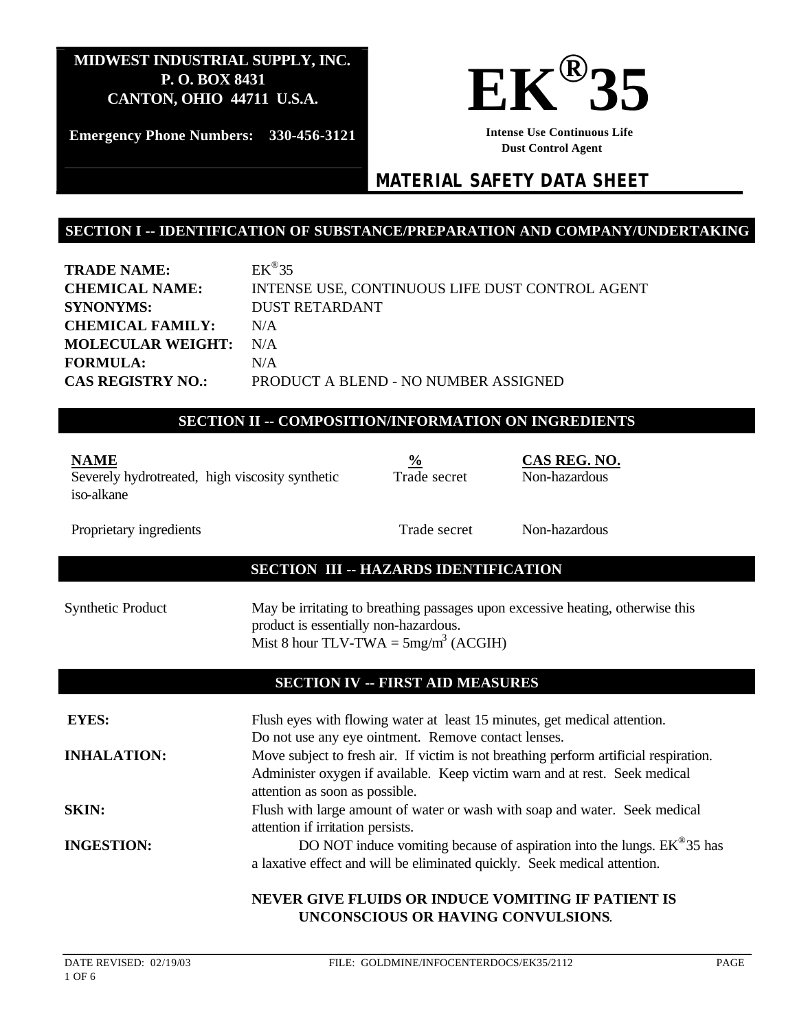

**Emergency Phone Numbers: 330-456-3121**

**Intense Use Continuous Life Dust Control Agent** 

# *MATERIAL SAFETY DATA SHEET*

#### **SECTION I -- IDENTIFICATION OF SUBSTANCE/PREPARATION AND COMPANY/UNDERTAKING**

**TRADE NAME:**  $EK^{\circledR}35$ **CHEMICAL NAME:** INTENSE USE, CONTINUOUS LIFE DUST CONTROL AGENT **SYNONYMS:** DUST RETARDANT **CHEMICAL FAMILY:** N/A **MOLECULAR WEIGHT:** N/A **FORMULA:** N/A **CAS REGISTRY NO.:** PRODUCT A BLEND - NO NUMBER ASSIGNED

#### **SECTION II -- COMPOSITION/INFORMATION ON INGREDIENTS**

| <b>NAME</b><br>Severely hydrotreated, high viscosity synthetic<br>iso-alkane | $\frac{6}{9}$<br>Trade secret | CAS REG. NO.<br>Non-hazardous |
|------------------------------------------------------------------------------|-------------------------------|-------------------------------|
| Proprietary ingredients                                                      | Trade secret                  | Non-hazardous                 |

## **SECTION III -- HAZARDS IDENTIFICATION**

| Synthetic Product | May be irritating to breathing passages upon excessive heating, otherwise this |
|-------------------|--------------------------------------------------------------------------------|
|                   | product is essentially non-hazardous.                                          |
|                   | Mist 8 hour TLV-TWA = $5mg/m^3$ (ACGIH)                                        |

## **SECTION IV -- FIRST AID MEASURES**

| <b>EYES:</b>       | Flush eyes with flowing water at least 15 minutes, get medical attention.                                       |
|--------------------|-----------------------------------------------------------------------------------------------------------------|
|                    | Do not use any eye ointment. Remove contact lenses.                                                             |
| <b>INHALATION:</b> | Move subject to fresh air. If victim is not breathing perform artificial respiration.                           |
|                    | Administer oxygen if available. Keep victim warn and at rest. Seek medical<br>attention as soon as possible.    |
| <b>SKIN:</b>       | Flush with large amount of water or wash with soap and water. Seek medical<br>attention if irritation persists. |
| <b>INGESTION:</b>  | DO NOT induce vomiting because of aspiration into the lungs. $EK^{\omega}35$ has                                |
|                    | a laxative effect and will be eliminated quickly. Seek medical attention.                                       |
|                    | NEVER GIVE FLUIDS OR INDUCE VOMITING IF PATIENT IS                                                              |
|                    | UNCONSCIOUS OR HAVING CONVULSIONS.                                                                              |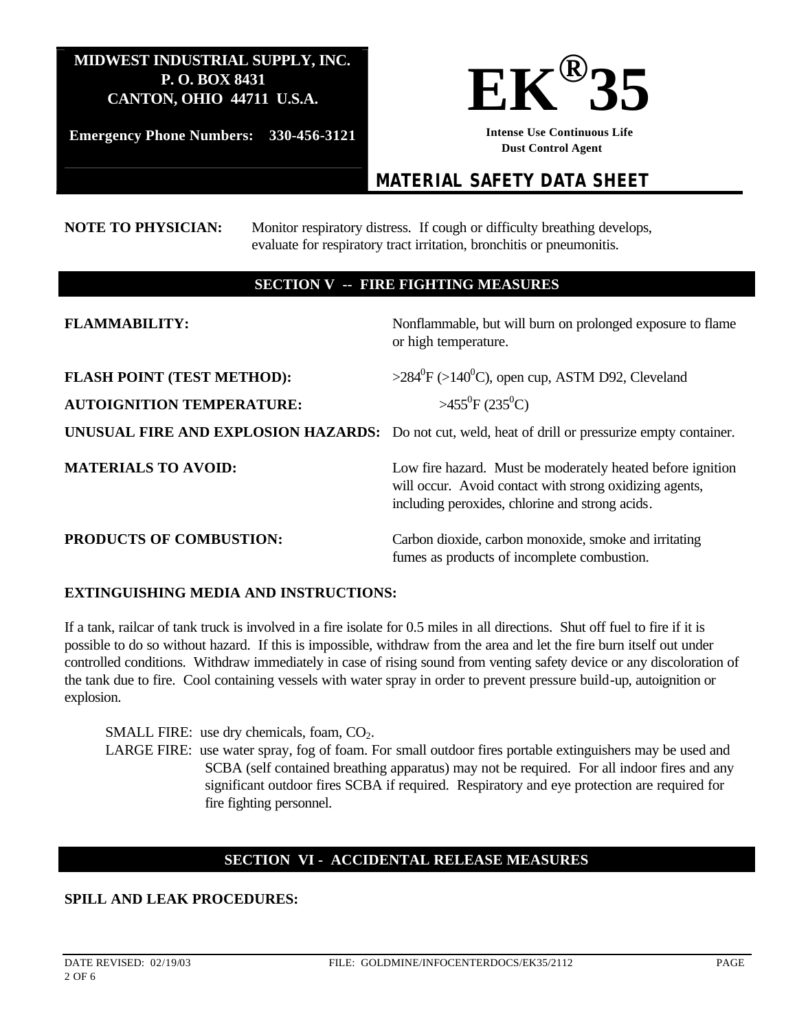

**Emergency Phone Numbers: 330-456-3121**

**Intense Use Continuous Life Dust Control Agent** 

# *MATERIAL SAFETY DATA SHEET*

#### **NOTE TO PHYSICIAN:** Monitor respiratory distress. If cough or difficulty breathing develops, evaluate for respiratory tract irritation, bronchitis or pneumonitis.

### **SECTION V -- FIRE FIGHTING MEASURES**

| <b>FLAMMABILITY:</b>                                                  | Nonflammable, but will burn on prolonged exposure to flame<br>or high temperature.                                                                                       |
|-----------------------------------------------------------------------|--------------------------------------------------------------------------------------------------------------------------------------------------------------------------|
| <b>FLASH POINT (TEST METHOD):</b><br><b>AUTOIGNITION TEMPERATURE:</b> | $>284^{\circ}F$ ( $>140^{\circ}C$ ), open cup, ASTM D92, Cleveland<br>$>455^{\circ}F(235^{\circ}C)$                                                                      |
|                                                                       | UNUSUAL FIRE AND EXPLOSION HAZARDS: Do not cut, weld, heat of drill or pressurize empty container.                                                                       |
| <b>MATERIALS TO AVOID:</b>                                            | Low fire hazard. Must be moderately heated before ignition<br>will occur. Avoid contact with strong oxidizing agents,<br>including peroxides, chlorine and strong acids. |
| <b>PRODUCTS OF COMBUSTION:</b>                                        | Carbon dioxide, carbon monoxide, smoke and irritating<br>fumes as products of incomplete combustion.                                                                     |

#### **EXTINGUISHING MEDIA AND INSTRUCTIONS:**

If a tank, railcar of tank truck is involved in a fire isolate for 0.5 miles in all directions. Shut off fuel to fire if it is possible to do so without hazard. If this is impossible, withdraw from the area and let the fire burn itself out under controlled conditions. Withdraw immediately in case of rising sound from venting safety device or any discoloration of the tank due to fire. Cool containing vessels with water spray in order to prevent pressure build-up, autoignition or explosion.

SMALL FIRE: use dry chemicals, foam,  $CO<sub>2</sub>$ . LARGE FIRE: use water spray, fog of foam. For small outdoor fires portable extinguishers may be used and SCBA (self contained breathing apparatus) may not be required. For all indoor fires and any significant outdoor fires SCBA if required. Respiratory and eye protection are required for fire fighting personnel.

## **SECTION VI - ACCIDENTAL RELEASE MEASURES**

#### **SPILL AND LEAK PROCEDURES:**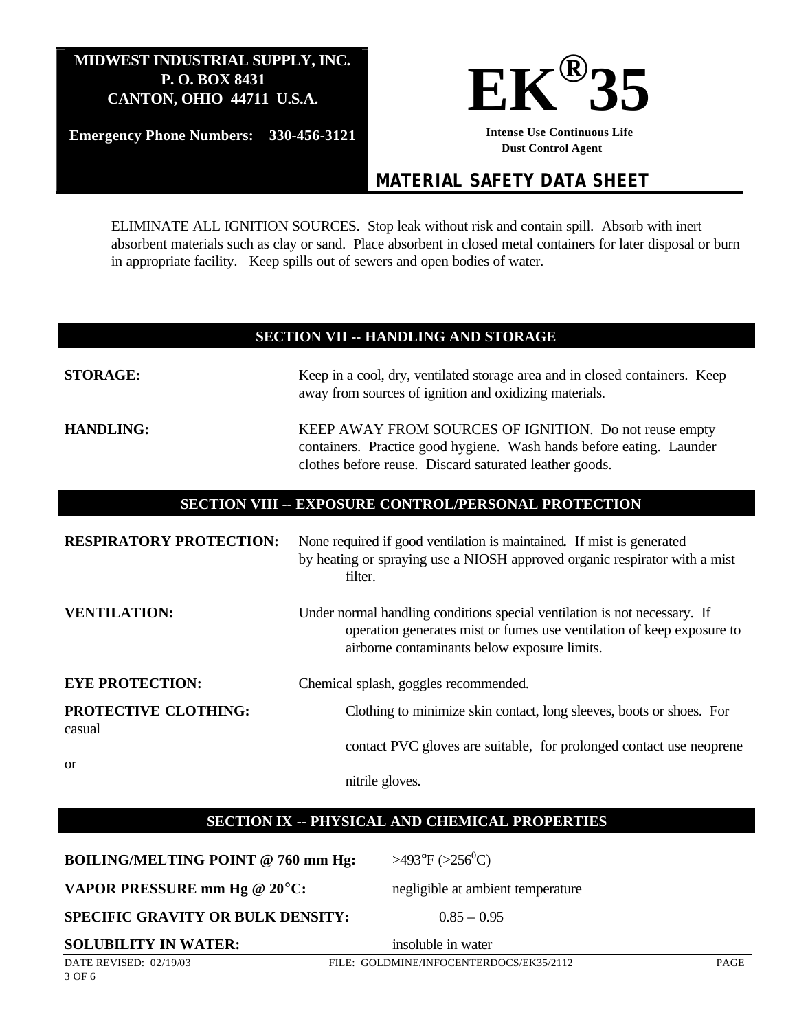

**Emergency Phone Numbers: 330-456-3121**

**Intense Use Continuous Life Dust Control Agent** 

# *MATERIAL SAFETY DATA SHEET*

ELIMINATE ALL IGNITION SOURCES. Stop leak without risk and contain spill. Absorb with inert absorbent materials such as clay or sand. Place absorbent in closed metal containers for later disposal or burn in appropriate facility. Keep spills out of sewers and open bodies of water.

### **SECTION VII -- HANDLING AND STORAGE**

| <b>STORAGE:</b>                | Keep in a cool, dry, ventilated storage area and in closed containers. Keep<br>away from sources of ignition and oxidizing materials.                                                              |
|--------------------------------|----------------------------------------------------------------------------------------------------------------------------------------------------------------------------------------------------|
| <b>HANDLING:</b>               | KEEP AWAY FROM SOURCES OF IGNITION. Do not reuse empty<br>containers. Practice good hygiene. Wash hands before eating. Launder<br>clothes before reuse. Discard saturated leather goods.           |
|                                | SECTION VIII -- EXPOSURE CONTROL/PERSONAL PROTECTION                                                                                                                                               |
| <b>RESPIRATORY PROTECTION:</b> | None required if good ventilation is maintained. If mist is generated<br>by heating or spraying use a NIOSH approved organic respirator with a mist<br>filter.                                     |
| <b>VENTILATION:</b>            | Under normal handling conditions special ventilation is not necessary. If<br>operation generates mist or fumes use ventilation of keep exposure to<br>airborne contaminants below exposure limits. |
| <b>EYE PROTECTION:</b>         | Chemical splash, goggles recommended.                                                                                                                                                              |
| PROTECTIVE CLOTHING:<br>casual | Clothing to minimize skin contact, long sleeves, boots or shoes. For                                                                                                                               |
|                                | contact PVC gloves are suitable, for prolonged contact use neoprene                                                                                                                                |
| <sub>or</sub>                  | nitrile gloves.                                                                                                                                                                                    |

## **SECTION IX -- PHYSICAL AND CHEMICAL PROPERTIES**

**BOILING/MELTING POINT @ 760 mm Hg:**  $>493^{\circ}F$  ( $>256^{\circ}C$ )

**VAPOR PRESSURE mm Hg @ 20°C:** negligible at ambient temperature

**SPECIFIC GRAVITY OR BULK DENSITY:** 0.85 – 0.95

**SOLUBILITY IN WATER:** insoluble in water

DATE REVISED: 02/19/03 FILE: GOLDMINE/INFOCENTERDOCS/EK35/2112 PAGE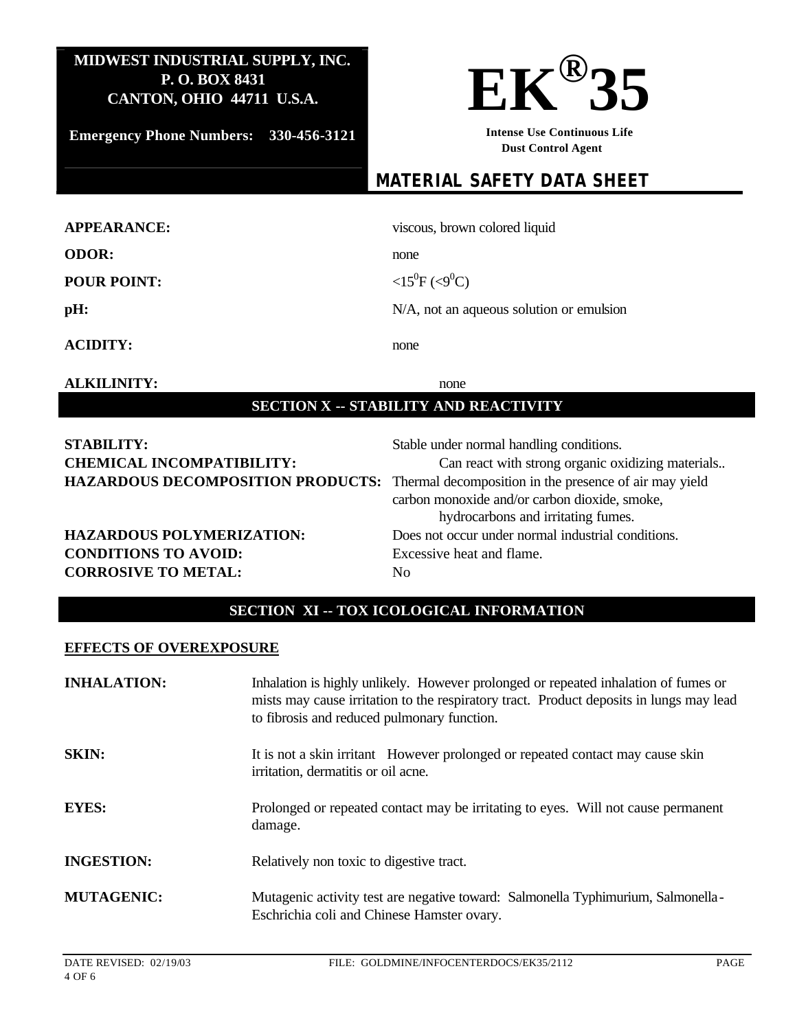**Emergency Phone Numbers: 330-456-3121**



**Intense Use Continuous Life Dust Control Agent** 

# *MATERIAL SAFETY DATA SHEET*

| <b>APPEARANCE:</b> | viscous, brown colored liquid            |
|--------------------|------------------------------------------|
| <b>ODOR:</b>       | none                                     |
| <b>POUR POINT:</b> | $\langle 15^{0}F (\langle 9^{0}C)$       |
| pH:                | N/A, not an aqueous solution or emulsion |
| <b>ACIDITY:</b>    | none                                     |

### **ALKILINITY:** none

# **SECTION X -- STABILITY AND REACTIVITY**

| <b>STABILITY:</b><br><b>CHEMICAL INCOMPATIBILITY:</b><br>HAZARDOUS DECOMPOSITION PRODUCTS: Thermal decomposition in the presence of air may yield | Stable under normal handling conditions.<br>Can react with strong organic oxidizing materials<br>carbon monoxide and/or carbon dioxide, smoke,<br>hydrocarbons and irritating fumes. |
|---------------------------------------------------------------------------------------------------------------------------------------------------|--------------------------------------------------------------------------------------------------------------------------------------------------------------------------------------|
| <b>HAZARDOUS POLYMERIZATION:</b>                                                                                                                  | Does not occur under normal industrial conditions.                                                                                                                                   |
| <b>CONDITIONS TO AVOID:</b>                                                                                                                       | Excessive heat and flame.                                                                                                                                                            |
| <b>CORROSIVE TO METAL:</b>                                                                                                                        | No.                                                                                                                                                                                  |

# **SECTION XI -- TOX ICOLOGICAL INFORMATION**

#### **EFFECTS OF OVEREXPOSURE**

| <b>INHALATION:</b> | Inhalation is highly unlikely. However prolonged or repeated inhalation of fumes or<br>mists may cause irritation to the respiratory tract. Product deposits in lungs may lead<br>to fibrosis and reduced pulmonary function. |
|--------------------|-------------------------------------------------------------------------------------------------------------------------------------------------------------------------------------------------------------------------------|
| <b>SKIN:</b>       | It is not a skin irritant However prolonged or repeated contact may cause skin<br>irritation, dermatitis or oil acne.                                                                                                         |
| <b>EYES:</b>       | Prolonged or repeated contact may be irritating to eyes. Will not cause permanent<br>damage.                                                                                                                                  |
| <b>INGESTION:</b>  | Relatively non toxic to digestive tract.                                                                                                                                                                                      |
| <b>MUTAGENIC:</b>  | Mutagenic activity test are negative toward: Salmonella Typhimurium, Salmonella-<br>Eschrichia coli and Chinese Hamster ovary.                                                                                                |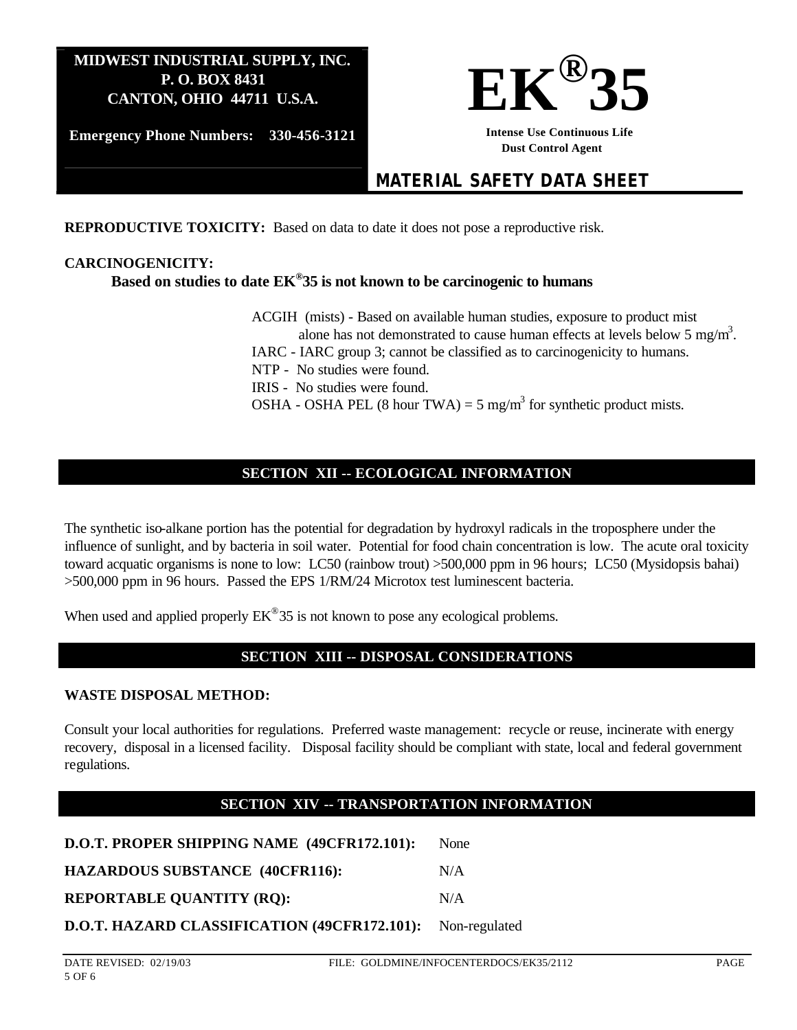

**Emergency Phone Numbers: 330-456-3121**

**Intense Use Continuous Life Dust Control Agent** 

# *MATERIAL SAFETY DATA SHEET*

**REPRODUCTIVE TOXICITY:** Based on data to date it does not pose a reproductive risk.

#### **CARCINOGENICITY:**

## **Based on studies to date EK® 35 is not known to be carcinogenic to humans**

ACGIH (mists) - Based on available human studies, exposure to product mist alone has not demonstrated to cause human effects at levels below 5 mg/m<sup>3</sup>. IARC - IARC group 3; cannot be classified as to carcinogenicity to humans. NTP - No studies were found. IRIS - No studies were found. OSHA - OSHA PEL (8 hour TWA) = 5 mg/m<sup>3</sup> for synthetic product mists.

# **SECTION XII -- ECOLOGICAL INFORMATION**

The synthetic iso-alkane portion has the potential for degradation by hydroxyl radicals in the troposphere under the influence of sunlight, and by bacteria in soil water. Potential for food chain concentration is low. The acute oral toxicity toward acquatic organisms is none to low: LC50 (rainbow trout) >500,000 ppm in 96 hours; LC50 (Mysidopsis bahai) >500,000 ppm in 96 hours. Passed the EPS 1/RM/24 Microtox test luminescent bacteria.

When used and applied properly  $EK^{\omega}35$  is not known to pose any ecological problems.

#### **SECTION XIII -- DISPOSAL CONSIDERATIONS**

#### **WASTE DISPOSAL METHOD:**

Consult your local authorities for regulations. Preferred waste management: recycle or reuse, incinerate with energy recovery, disposal in a licensed facility. Disposal facility should be compliant with state, local and federal government regulations.

## **SECTION XIV -- TRANSPORTATION INFORMATION**

| D.O.T. PROPER SHIPPING NAME (49CFR172.101):                | <b>None</b> |
|------------------------------------------------------------|-------------|
| <b>HAZARDOUS SUBSTANCE (40CFR116):</b>                     | N/A         |
| <b>REPORTABLE QUANTITY (RQ):</b>                           | N/A         |
| D.O.T. HAZARD CLASSIFICATION (49CFR172.101): Non-regulated |             |